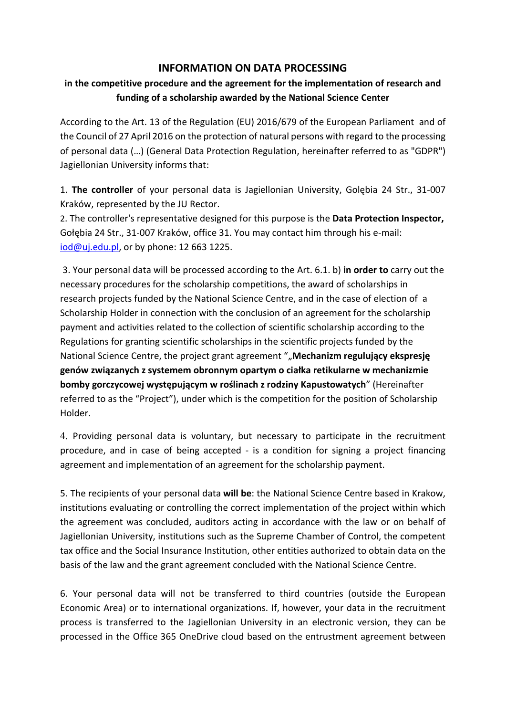## **INFORMATION ON DATA PROCESSING**

## **in the competitive procedure and the agreement for the implementation of research and funding of a scholarship awarded by the National Science Center**

According to the Art. 13 of the Regulation (EU) 2016/679 of the European Parliament and of the Council of 27 April 2016 on the protection of natural persons with regard to the processing of personal data (…) (General Data Protection Regulation, hereinafter referred to as "GDPR") Jagiellonian University informs that:

1. **The controller** of your personal data is Jagiellonian University, Golębia 24 Str., 31-007 Kraków, represented by the JU Rector.

2. The controller's representative designed for this purpose is the **Data Protection Inspector,**  Gołębia 24 Str., 31-007 Kraków, office 31. You may contact him through his e-mail: [iod@uj.edu.pl,](mailto:iod@uj.edu.pl) or by phone: 12 663 1225.

3. Your personal data will be processed according to the Art. 6.1. b) **in order to** carry out the necessary procedures for the scholarship competitions, the award of scholarships in research projects funded by the National Science Centre, and in the case of election of a Scholarship Holder in connection with the conclusion of an agreement for the scholarship payment and activities related to the collection of scientific scholarship according to the Regulations for granting scientific scholarships in the scientific projects funded by the National Science Centre, the project grant agreement ""**Mechanizm regulujący ekspresję genów związanych z systemem obronnym opartym o ciałka retikularne w mechanizmie bomby gorczycowej występującym w roślinach z rodziny Kapustowatych**" (Hereinafter referred to as the "Project"), under which is the competition for the position of Scholarship Holder.

4. Providing personal data is voluntary, but necessary to participate in the recruitment procedure, and in case of being accepted - is a condition for signing a project financing agreement and implementation of an agreement for the scholarship payment.

5. The recipients of your personal data **will be**: the National Science Centre based in Krakow, institutions evaluating or controlling the correct implementation of the project within which the agreement was concluded, auditors acting in accordance with the law or on behalf of Jagiellonian University, institutions such as the Supreme Chamber of Control, the competent tax office and the Social Insurance Institution, other entities authorized to obtain data on the basis of the law and the grant agreement concluded with the National Science Centre.

6. Your personal data will not be transferred to third countries (outside the European Economic Area) or to international organizations. If, however, your data in the recruitment process is transferred to the Jagiellonian University in an electronic version, they can be processed in the Office 365 OneDrive cloud based on the entrustment agreement between